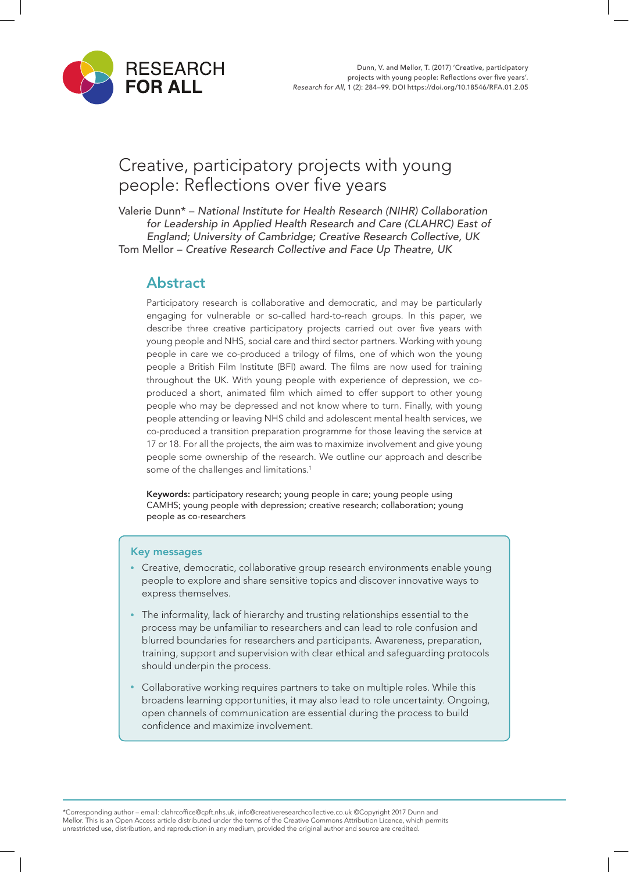

# Creative, participatory projects with young people: Reflections over five years

Valerie Dunn\* – *National Institute for Health Research (NIHR) Collaboration for Leadership in Applied Health Research and Care (CLAHRC) East of England; University of Cambridge; Creative Research Collective, UK* Tom Mellor – *Creative Research Collective and Face Up Theatre, UK*

# Abstract

Participatory research is collaborative and democratic, and may be particularly engaging for vulnerable or so-called hard-to-reach groups. In this paper, we describe three creative participatory projects carried out over five years with young people and NHS, social care and third sector partners. Working with young people in care we co-produced a trilogy of films, one of which won the young people a British Film Institute (BFI) award. The films are now used for training throughout the UK. With young people with experience of depression, we coproduced a short, animated film which aimed to offer support to other young people who may be depressed and not know where to turn. Finally, with young people attending or leaving NHS child and adolescent mental health services, we co-produced a transition preparation programme for those leaving the service at 17 or 18. For all the projects, the aim was to maximize involvement and give young people some ownership of the research. We outline our approach and describe some of the challenges and limitations.<sup>1</sup>

Keywords: participatory research; young people in care; young people using CAMHS; young people with depression; creative research; collaboration; young people as co-researchers

### Key messages

- Creative, democratic, collaborative group research environments enable young people to explore and share sensitive topics and discover innovative ways to express themselves.
- The informality, lack of hierarchy and trusting relationships essential to the process may be unfamiliar to researchers and can lead to role confusion and blurred boundaries for researchers and participants. Awareness, preparation, training, support and supervision with clear ethical and safeguarding protocols should underpin the process.
- Collaborative working requires partners to take on multiple roles. While this broadens learning opportunities, it may also lead to role uncertainty. Ongoing, open channels of communication are essential during the process to build confidence and maximize involvement.

\*Corresponding author – email: clahrcoffice@cpft.nhs.uk, info@creativeresearchcollective.co.uk ©Copyright 2017 Dunn and Mellor. This is an Open Access article distributed under the terms of the Creative Commons Attribution Licence, which permits unrestricted use, distribution, and reproduction in any medium, provided the original author and source are credited.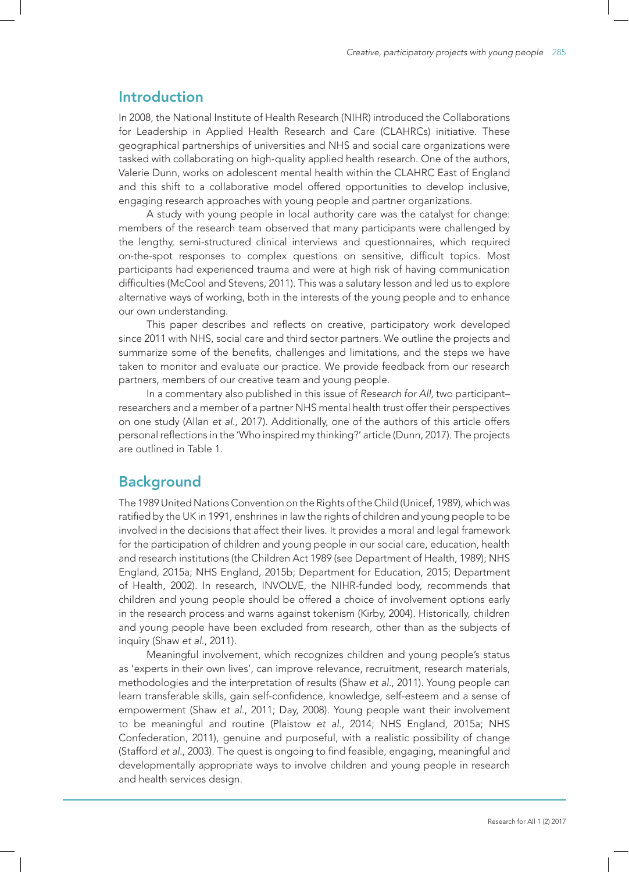## Introduction

In 2008, the National Institute of Health Research (NIHR) introduced the Collaborations for Leadership in Applied Health Research and Care (CLAHRCs) initiative. These geographical partnerships of universities and NHS and social care organizations were tasked with collaborating on high-quality applied health research. One of the authors, Valerie Dunn, works on adolescent mental health within the CLAHRC East of England and this shift to a collaborative model offered opportunities to develop inclusive, engaging research approaches with young people and partner organizations.

A study with young people in local authority care was the catalyst for change: members of the research team observed that many participants were challenged by the lengthy, semi-structured clinical interviews and questionnaires, which required on-the-spot responses to complex questions on sensitive, difficult topics. Most participants had experienced trauma and were at high risk of having communication difficulties (McCool and Stevens, 2011). This was a salutary lesson and led us to explore alternative ways of working, both in the interests of the young people and to enhance our own understanding.

This paper describes and reflects on creative, participatory work developed since 2011 with NHS, social care and third sector partners. We outline the projects and summarize some of the benefits, challenges and limitations, and the steps we have taken to monitor and evaluate our practice. We provide feedback from our research partners, members of our creative team and young people.

In a commentary also published in this issue of *Research for All*, two participant– researchers and a member of a partner NHS mental health trust offer their perspectives on one study (Allan *et al.*, 2017). Additionally, one of the authors of this article offers personal reflections in the 'Who inspired my thinking?' article (Dunn, 2017). The projects are outlined in Table 1.

# Background

The 1989 United Nations Convention on the Rights of the Child (Unicef, 1989), which was ratified by the UK in 1991, enshrines in law the rights of children and young people to be involved in the decisions that affect their lives. It provides a moral and legal framework for the participation of children and young people in our social care, education, health and research institutions (the Children Act 1989 (see Department of Health, 1989); NHS England, 2015a; NHS England, 2015b; Department for Education, 2015; Department of Health, 2002). In research, INVOLVE, the NIHR-funded body, recommends that children and young people should be offered a choice of involvement options early in the research process and warns against tokenism (Kirby, 2004). Historically, children and young people have been excluded from research, other than as the subjects of inquiry (Shaw *et al*., 2011).

Meaningful involvement, which recognizes children and young people's status as 'experts in their own lives', can improve relevance, recruitment, research materials, methodologies and the interpretation of results (Shaw *et al*., 2011). Young people can learn transferable skills, gain self-confidence, knowledge, self-esteem and a sense of empowerment (Shaw *et al*., 2011; Day, 2008). Young people want their involvement to be meaningful and routine (Plaistow *et al*., 2014; NHS England, 2015a; NHS Confederation, 2011), genuine and purposeful, with a realistic possibility of change (Stafford *et al*., 2003). The quest is ongoing to find feasible, engaging, meaningful and developmentally appropriate ways to involve children and young people in research and health services design.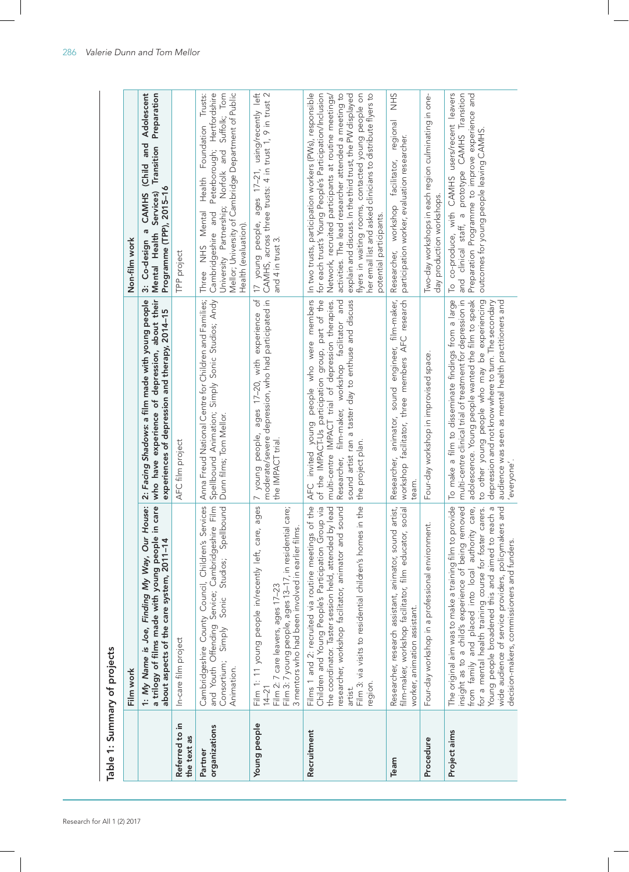| Table 1: Summary of projects  |                                                                                                                                                                                                                                                                                                                                                                                                       |                                                                                                                                                                                                                                                                                                                                                        |                                                                                                                                                                                                                                                                                                                                                                                                                                                  |
|-------------------------------|-------------------------------------------------------------------------------------------------------------------------------------------------------------------------------------------------------------------------------------------------------------------------------------------------------------------------------------------------------------------------------------------------------|--------------------------------------------------------------------------------------------------------------------------------------------------------------------------------------------------------------------------------------------------------------------------------------------------------------------------------------------------------|--------------------------------------------------------------------------------------------------------------------------------------------------------------------------------------------------------------------------------------------------------------------------------------------------------------------------------------------------------------------------------------------------------------------------------------------------|
|                               | Film work                                                                                                                                                                                                                                                                                                                                                                                             |                                                                                                                                                                                                                                                                                                                                                        | Non-film work                                                                                                                                                                                                                                                                                                                                                                                                                                    |
|                               | a trilogy of films made with young people in care<br>about aspects of the care system, 2011–14<br>House:<br>1: My Name is Joe, Finding My Way, Our                                                                                                                                                                                                                                                    | who have experience of depression, about their<br>2: Facing Shadows: a film made with young people<br>experiences of depression and therapy, 2014-15                                                                                                                                                                                                   | Adolescent<br>Transition Preparation<br>(Child and<br>Programme (TPP), 2015-16<br>Services)<br>CAMHS<br>$\sigma$<br>Mental Health<br>3: Co-design                                                                                                                                                                                                                                                                                                |
| Referred to in<br>the text as | In-care film project                                                                                                                                                                                                                                                                                                                                                                                  | AFC film project                                                                                                                                                                                                                                                                                                                                       | TPP project                                                                                                                                                                                                                                                                                                                                                                                                                                      |
| organizations<br>Partner      | Cambridgeshire County Council, Children's Services<br>and Youth Offending Service; Cambridgeshire Film<br>Spellbound<br>Sonic Studios;<br>Simply<br>Consortium;<br>Animation.                                                                                                                                                                                                                         | Anna Freud National Centre for Children and Families;<br>Spellbound Animation; Simply Sonic Studios; Andy<br>Dunn films; Tom Mellor.                                                                                                                                                                                                                   | Mellor; University of Cambridge Department of Public<br>Trusts:<br>Hertfordshire<br>Suffolk; Tom<br>Foundation<br>Peterborough;<br>University Partnership; Norfolk and<br>Health<br>Cambridgeshire and<br>Mental<br>Health (evaluation).<br><b>NHS</b><br>Three                                                                                                                                                                                  |
| Young people                  | ages<br>Film 3: 7 young people, ages 13-17, in residential care;<br>3 mentors who had been involved in earlier films.<br>Film 1: 11 young people in/recently left, care<br>Film 2: 7 care leavers, ages 17-23<br>$14 - 21$                                                                                                                                                                            | moderate/severe depression, who had participated in<br>$\overline{\sigma}$<br>ages 17-20, with experience<br>7 young people,<br>the IMPACT trial.                                                                                                                                                                                                      | ages 17-21, using/recently left<br>CAMHS, across three trusts: 4 in trust 1, 9 in trust 2<br>and 4 in trust 3.<br>17 young people,                                                                                                                                                                                                                                                                                                               |
| Recruitment                   | Children and Young People's Participation Group via<br>of the<br>the coordinator. Taster session held, attended by lead<br>sound<br>in the<br>Film 3: via visits to residential children's homes<br>Films 1 and 2: recruited via routine meetings<br>researcher, workshop facilitator, animator and<br>region.<br>artist.                                                                             | of the IMPACT-Us participation group, part of the<br>sound artist ran a taster day to enthuse and discuss<br>AFC invited young people who were members<br>Researcher, film-maker, workshop facilitator and<br>multi-centre IMPACT trial of depression therapies.<br>the project plan.                                                                  | In two trusts, participation workers (PWs), responsible<br>for each trust's Young People's Participation/Inclusion<br>flyers in waiting rooms, contacted young people on<br>activities. The lead researcher attended a meeting to<br>explain and discuss. In the third trust, the PW displayed<br>her email list and asked clinicians to distribute flyers to<br>Network, recruited participants at routine meetings/<br>potential participants. |
| Team                          | artist,<br>social<br>Researcher, research assistant, animator, sound<br>film-maker, workshop facilitator, film educator,<br>worker, animation assistant.                                                                                                                                                                                                                                              | film-maker,<br>facilitator, three members AFC research<br>animator, sound engineer,<br>Researcher,<br>workshop<br>team.                                                                                                                                                                                                                                | <b>SHN</b><br>regional<br>participation worker, evaluation researcher.<br>facilitator,<br>Researcher, workshop                                                                                                                                                                                                                                                                                                                                   |
| Procedure                     | Four-day workshop in a professional environment.                                                                                                                                                                                                                                                                                                                                                      | Four-day workshop in improvised space.                                                                                                                                                                                                                                                                                                                 | Two-day workshops in each region culminating in one-<br>day production workshops.                                                                                                                                                                                                                                                                                                                                                                |
| Project aims                  | The original aim was to make a training film to provide<br>insight as to a child's experience of being removed<br>Young people broadened this and aimed to reach a<br>authority care,<br>carers.<br>rs and<br>wide audience of service providers, policymake<br>for a mental health training course for foster<br>decision-makers, commissioners and funders.<br>and placed into local<br>from family | adolescence. Young people wanted the film to speak<br>multi-centre clinical trial of treatment for depression in<br>To make a film to disseminate findings from a large<br>to other young people who may be experiencing<br>audience was seen as mental health practitioners and<br>depression and not know where to turn. The secondary<br>everyone'. | To co-produce, with CAMHS users/recent leavers<br>and clinical staff, a prototype CAMHS Transition<br>Preparation Programme to improve experience and<br>outcomes for young people leaving CAMHS.                                                                                                                                                                                                                                                |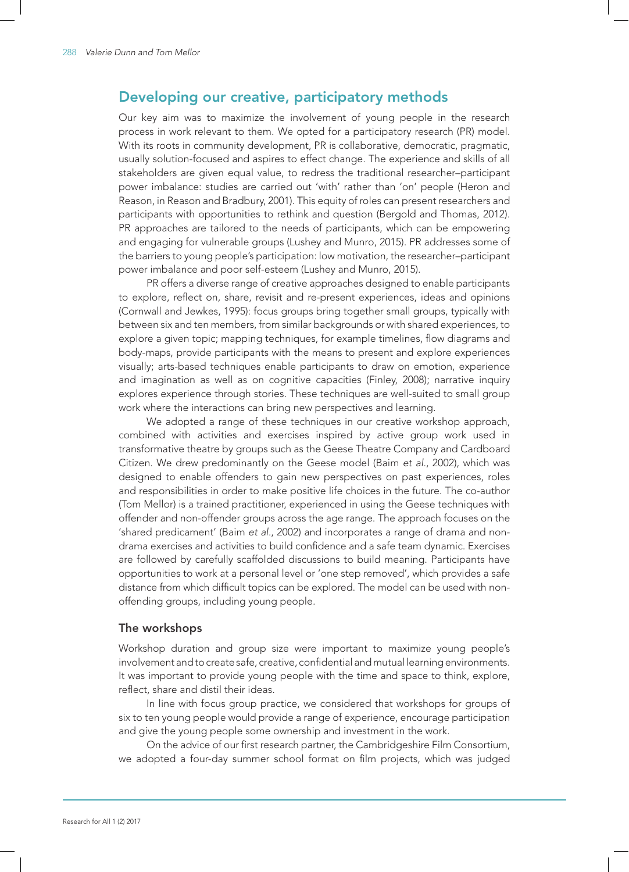## Developing our creative, participatory methods

Our key aim was to maximize the involvement of young people in the research process in work relevant to them. We opted for a participatory research (PR) model. With its roots in community development, PR is collaborative, democratic, pragmatic, usually solution-focused and aspires to effect change. The experience and skills of all stakeholders are given equal value, to redress the traditional researcher–participant power imbalance: studies are carried out 'with' rather than 'on' people (Heron and Reason, in Reason and Bradbury, 2001). This equity of roles can present researchers and participants with opportunities to rethink and question (Bergold and Thomas, 2012). PR approaches are tailored to the needs of participants, which can be empowering and engaging for vulnerable groups (Lushey and Munro, 2015). PR addresses some of the barriers to young people's participation: low motivation, the researcher–participant power imbalance and poor self-esteem (Lushey and Munro, 2015).

PR offers a diverse range of creative approaches designed to enable participants to explore, reflect on, share, revisit and re-present experiences, ideas and opinions (Cornwall and Jewkes, 1995): focus groups bring together small groups, typically with between six and ten members, from similar backgrounds or with shared experiences, to explore a given topic; mapping techniques, for example timelines, flow diagrams and body-maps, provide participants with the means to present and explore experiences visually; arts-based techniques enable participants to draw on emotion, experience and imagination as well as on cognitive capacities (Finley, 2008); narrative inquiry explores experience through stories. These techniques are well-suited to small group work where the interactions can bring new perspectives and learning.

We adopted a range of these techniques in our creative workshop approach, combined with activities and exercises inspired by active group work used in transformative theatre by groups such as the Geese Theatre Company and Cardboard Citizen. We drew predominantly on the Geese model (Baim *et al.*, 2002), which was designed to enable offenders to gain new perspectives on past experiences, roles and responsibilities in order to make positive life choices in the future. The co-author (Tom Mellor) is a trained practitioner, experienced in using the Geese techniques with offender and non-offender groups across the age range. The approach focuses on the 'shared predicament' (Baim *et al.*, 2002) and incorporates a range of drama and nondrama exercises and activities to build confidence and a safe team dynamic. Exercises are followed by carefully scaffolded discussions to build meaning. Participants have opportunities to work at a personal level or 'one step removed', which provides a safe distance from which difficult topics can be explored. The model can be used with nonoffending groups, including young people.

#### The workshops

Workshop duration and group size were important to maximize young people's involvement and to create safe, creative, confidential and mutual learning environments. It was important to provide young people with the time and space to think, explore, reflect, share and distil their ideas.

In line with focus group practice, we considered that workshops for groups of six to ten young people would provide a range of experience, encourage participation and give the young people some ownership and investment in the work.

On the advice of our first research partner, the Cambridgeshire Film Consortium, we adopted a four-day summer school format on film projects, which was judged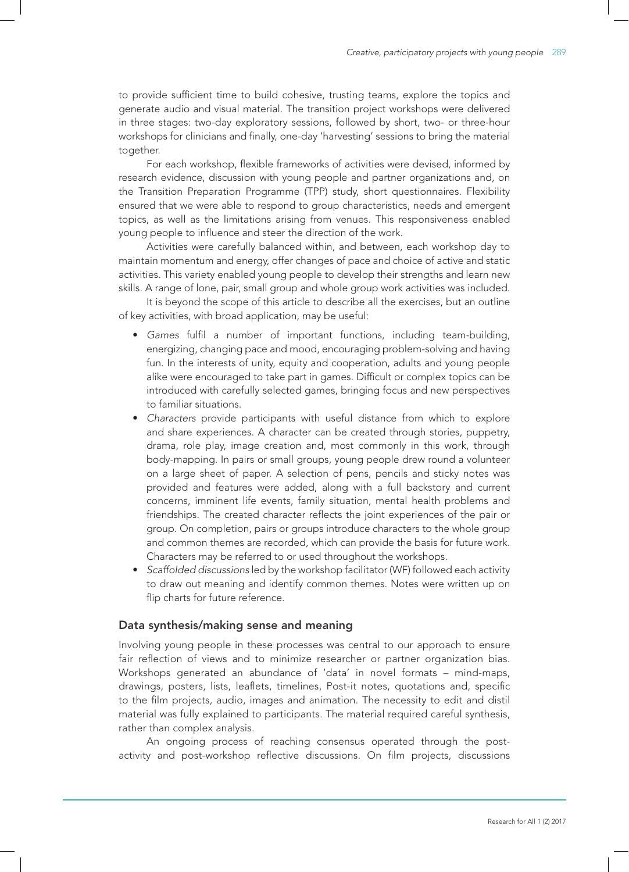to provide sufficient time to build cohesive, trusting teams, explore the topics and generate audio and visual material. The transition project workshops were delivered in three stages: two-day exploratory sessions, followed by short, two- or three-hour workshops for clinicians and finally, one-day 'harvesting' sessions to bring the material together.

For each workshop, flexible frameworks of activities were devised, informed by research evidence, discussion with young people and partner organizations and, on the Transition Preparation Programme (TPP) study, short questionnaires. Flexibility ensured that we were able to respond to group characteristics, needs and emergent topics, as well as the limitations arising from venues. This responsiveness enabled young people to influence and steer the direction of the work.

Activities were carefully balanced within, and between, each workshop day to maintain momentum and energy, offer changes of pace and choice of active and static activities. This variety enabled young people to develop their strengths and learn new skills. A range of lone, pair, small group and whole group work activities was included.

It is beyond the scope of this article to describe all the exercises, but an outline of key activities, with broad application, may be useful:

- *Games* fulfil a number of important functions, including team-building, energizing, changing pace and mood, encouraging problem-solving and having fun. In the interests of unity, equity and cooperation, adults and young people alike were encouraged to take part in games. Difficult or complex topics can be introduced with carefully selected games, bringing focus and new perspectives to familiar situations.
- *Characters* provide participants with useful distance from which to explore and share experiences. A character can be created through stories, puppetry, drama, role play, image creation and, most commonly in this work, through body-mapping. In pairs or small groups, young people drew round a volunteer on a large sheet of paper. A selection of pens, pencils and sticky notes was provided and features were added, along with a full backstory and current concerns, imminent life events, family situation, mental health problems and friendships. The created character reflects the joint experiences of the pair or group. On completion, pairs or groups introduce characters to the whole group and common themes are recorded, which can provide the basis for future work. Characters may be referred to or used throughout the workshops.
- *Scaffolded discussions* led by the workshop facilitator (WF) followed each activity to draw out meaning and identify common themes. Notes were written up on flip charts for future reference.

#### Data synthesis/making sense and meaning

Involving young people in these processes was central to our approach to ensure fair reflection of views and to minimize researcher or partner organization bias. Workshops generated an abundance of 'data' in novel formats – mind-maps, drawings, posters, lists, leaflets, timelines, Post-it notes, quotations and, specific to the film projects, audio, images and animation. The necessity to edit and distil material was fully explained to participants. The material required careful synthesis, rather than complex analysis.

An ongoing process of reaching consensus operated through the postactivity and post-workshop reflective discussions. On film projects, discussions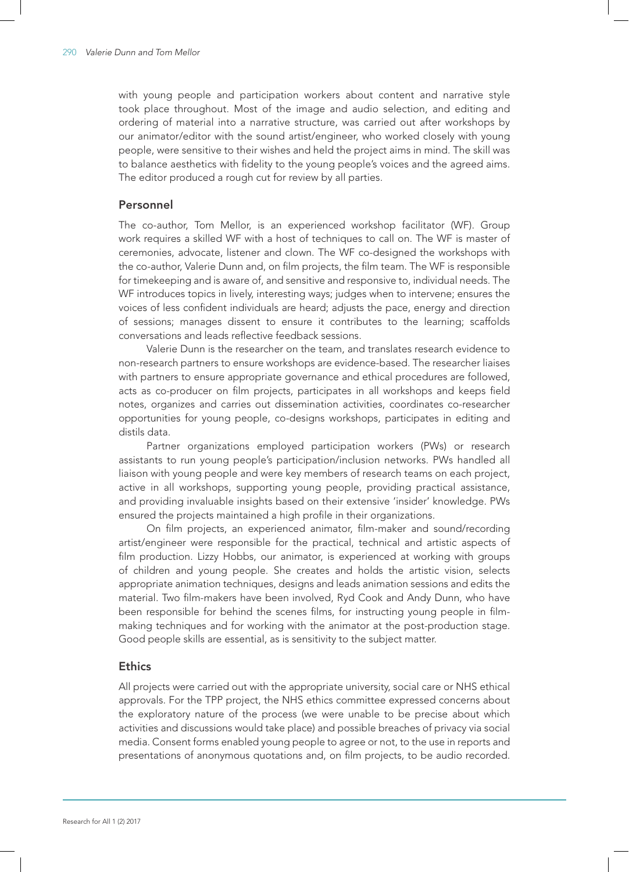with young people and participation workers about content and narrative style took place throughout. Most of the image and audio selection, and editing and ordering of material into a narrative structure, was carried out after workshops by our animator/editor with the sound artist/engineer, who worked closely with young people, were sensitive to their wishes and held the project aims in mind. The skill was to balance aesthetics with fidelity to the young people's voices and the agreed aims. The editor produced a rough cut for review by all parties.

### Personnel

The co-author, Tom Mellor, is an experienced workshop facilitator (WF). Group work requires a skilled WF with a host of techniques to call on. The WF is master of ceremonies, advocate, listener and clown. The WF co-designed the workshops with the co-author, Valerie Dunn and, on film projects, the film team. The WF is responsible for timekeeping and is aware of, and sensitive and responsive to, individual needs. The WF introduces topics in lively, interesting ways; judges when to intervene; ensures the voices of less confident individuals are heard; adjusts the pace, energy and direction of sessions; manages dissent to ensure it contributes to the learning; scaffolds conversations and leads reflective feedback sessions.

Valerie Dunn is the researcher on the team, and translates research evidence to non-research partners to ensure workshops are evidence-based. The researcher liaises with partners to ensure appropriate governance and ethical procedures are followed, acts as co-producer on film projects, participates in all workshops and keeps field notes, organizes and carries out dissemination activities, coordinates co-researcher opportunities for young people, co-designs workshops, participates in editing and distils data.

Partner organizations employed participation workers (PWs) or research assistants to run young people's participation/inclusion networks. PWs handled all liaison with young people and were key members of research teams on each project, active in all workshops, supporting young people, providing practical assistance, and providing invaluable insights based on their extensive 'insider' knowledge. PWs ensured the projects maintained a high profile in their organizations.

On film projects, an experienced animator, film-maker and sound/recording artist/engineer were responsible for the practical, technical and artistic aspects of film production. Lizzy Hobbs, our animator, is experienced at working with groups of children and young people. She creates and holds the artistic vision, selects appropriate animation techniques, designs and leads animation sessions and edits the material. Two film-makers have been involved, Ryd Cook and Andy Dunn, who have been responsible for behind the scenes films, for instructing young people in filmmaking techniques and for working with the animator at the post-production stage. Good people skills are essential, as is sensitivity to the subject matter.

### **Ethics**

All projects were carried out with the appropriate university, social care or NHS ethical approvals. For the TPP project, the NHS ethics committee expressed concerns about the exploratory nature of the process (we were unable to be precise about which activities and discussions would take place) and possible breaches of privacy via social media. Consent forms enabled young people to agree or not, to the use in reports and presentations of anonymous quotations and, on film projects, to be audio recorded.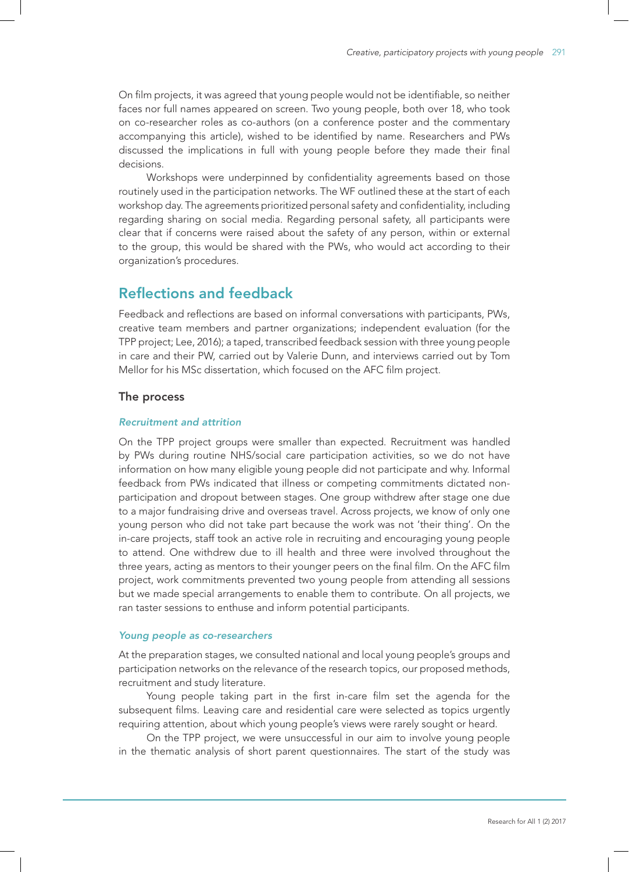On film projects, it was agreed that young people would not be identifiable, so neither faces nor full names appeared on screen. Two young people, both over 18, who took on co-researcher roles as co-authors (on a conference poster and the commentary accompanying this article), wished to be identified by name. Researchers and PWs discussed the implications in full with young people before they made their final decisions.

Workshops were underpinned by confidentiality agreements based on those routinely used in the participation networks. The WF outlined these at the start of each workshop day. The agreements prioritized personal safety and confidentiality, including regarding sharing on social media. Regarding personal safety, all participants were clear that if concerns were raised about the safety of any person, within or external to the group, this would be shared with the PWs, who would act according to their organization's procedures.

## Reflections and feedback

Feedback and reflections are based on informal conversations with participants, PWs, creative team members and partner organizations; independent evaluation (for the TPP project; Lee, 2016); a taped, transcribed feedback session with three young people in care and their PW, carried out by Valerie Dunn, and interviews carried out by Tom Mellor for his MSc dissertation, which focused on the AFC film project.

### The process

#### *Recruitment and attrition*

On the TPP project groups were smaller than expected. Recruitment was handled by PWs during routine NHS/social care participation activities, so we do not have information on how many eligible young people did not participate and why. Informal feedback from PWs indicated that illness or competing commitments dictated nonparticipation and dropout between stages. One group withdrew after stage one due to a major fundraising drive and overseas travel. Across projects, we know of only one young person who did not take part because the work was not 'their thing'. On the in-care projects, staff took an active role in recruiting and encouraging young people to attend. One withdrew due to ill health and three were involved throughout the three years, acting as mentors to their younger peers on the final film. On the AFC film project, work commitments prevented two young people from attending all sessions but we made special arrangements to enable them to contribute. On all projects, we ran taster sessions to enthuse and inform potential participants.

#### *Young people as co-researchers*

At the preparation stages, we consulted national and local young people's groups and participation networks on the relevance of the research topics, our proposed methods, recruitment and study literature.

Young people taking part in the first in-care film set the agenda for the subsequent films. Leaving care and residential care were selected as topics urgently requiring attention, about which young people's views were rarely sought or heard.

On the TPP project, we were unsuccessful in our aim to involve young people in the thematic analysis of short parent questionnaires. The start of the study was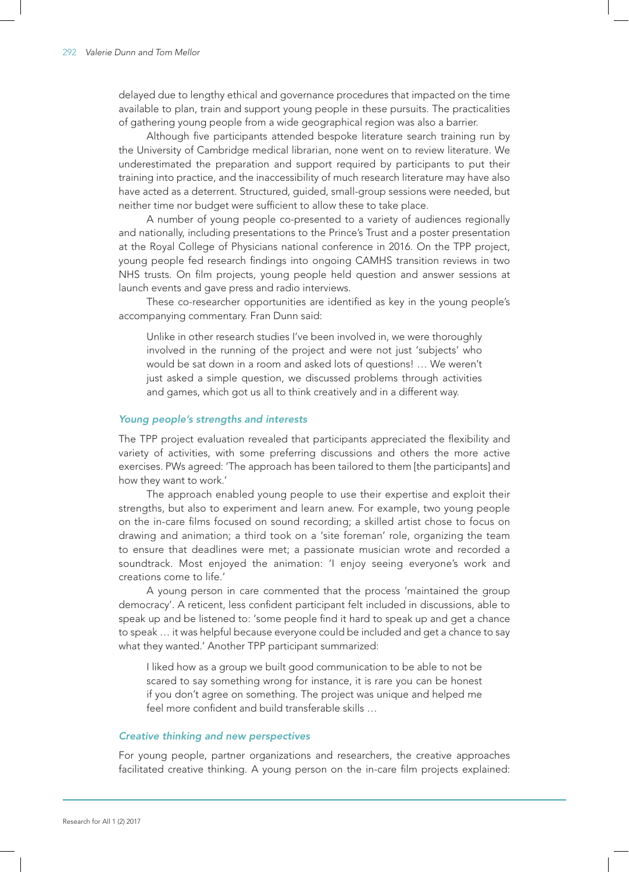delayed due to lengthy ethical and governance procedures that impacted on the time available to plan, train and support young people in these pursuits. The practicalities of gathering young people from a wide geographical region was also a barrier.

Although five participants attended bespoke literature search training run by the University of Cambridge medical librarian, none went on to review literature. We underestimated the preparation and support required by participants to put their training into practice, and the inaccessibility of much research literature may have also have acted as a deterrent. Structured, guided, small-group sessions were needed, but neither time nor budget were sufficient to allow these to take place.

A number of young people co-presented to a variety of audiences regionally and nationally, including presentations to the Prince's Trust and a poster presentation at the Royal College of Physicians national conference in 2016. On the TPP project, young people fed research findings into ongoing CAMHS transition reviews in two NHS trusts. On film projects, young people held question and answer sessions at launch events and gave press and radio interviews.

These co-researcher opportunities are identified as key in the young people's accompanying commentary. Fran Dunn said:

Unlike in other research studies I've been involved in, we were thoroughly involved in the running of the project and were not just 'subjects' who would be sat down in a room and asked lots of questions! … We weren't just asked a simple question, we discussed problems through activities and games, which got us all to think creatively and in a different way.

#### *Young people's strengths and interests*

The TPP project evaluation revealed that participants appreciated the flexibility and variety of activities, with some preferring discussions and others the more active exercises. PWs agreed: 'The approach has been tailored to them [the participants] and how they want to work.'

The approach enabled young people to use their expertise and exploit their strengths, but also to experiment and learn anew. For example, two young people on the in-care films focused on sound recording; a skilled artist chose to focus on drawing and animation; a third took on a 'site foreman' role, organizing the team to ensure that deadlines were met; a passionate musician wrote and recorded a soundtrack. Most enjoyed the animation: 'I enjoy seeing everyone's work and creations come to life.'

A young person in care commented that the process 'maintained the group democracy'. A reticent, less confident participant felt included in discussions, able to speak up and be listened to: 'some people find it hard to speak up and get a chance to speak … it was helpful because everyone could be included and get a chance to say what they wanted.' Another TPP participant summarized:

I liked how as a group we built good communication to be able to not be scared to say something wrong for instance, it is rare you can be honest if you don't agree on something. The project was unique and helped me feel more confident and build transferable skills …

#### *Creative thinking and new perspectives*

For young people, partner organizations and researchers, the creative approaches facilitated creative thinking. A young person on the in-care film projects explained: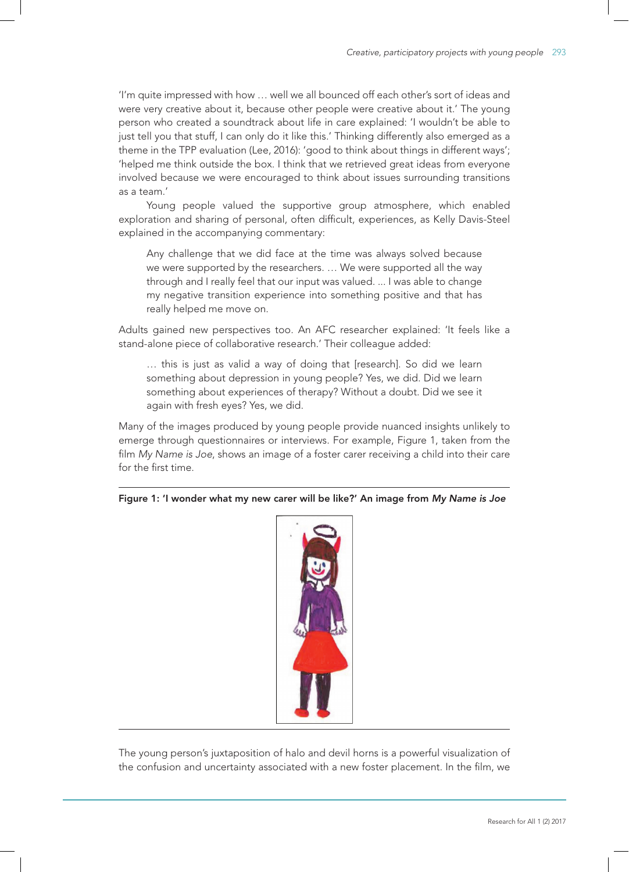'I'm quite impressed with how … well we all bounced off each other's sort of ideas and were very creative about it, because other people were creative about it.' The young person who created a soundtrack about life in care explained: 'I wouldn't be able to just tell you that stuff, I can only do it like this.' Thinking differently also emerged as a theme in the TPP evaluation (Lee, 2016): 'good to think about things in different ways'; 'helped me think outside the box. I think that we retrieved great ideas from everyone involved because we were encouraged to think about issues surrounding transitions as a team.'

Young people valued the supportive group atmosphere, which enabled exploration and sharing of personal, often difficult, experiences, as Kelly Davis-Steel explained in the accompanying commentary:

Any challenge that we did face at the time was always solved because we were supported by the researchers. … We were supported all the way through and I really feel that our input was valued. ... I was able to change my negative transition experience into something positive and that has really helped me move on.

Adults gained new perspectives too. An AFC researcher explained: 'It feels like a stand-alone piece of collaborative research.' Their colleague added:

… this is just as valid a way of doing that [research]. So did we learn something about depression in young people? Yes, we did. Did we learn something about experiences of therapy? Without a doubt. Did we see it again with fresh eyes? Yes, we did.

Many of the images produced by young people provide nuanced insights unlikely to emerge through questionnaires or interviews. For example, Figure 1, taken from the film *My Name is Joe*, shows an image of a foster carer receiving a child into their care for the first time.

#### Figure 1: 'I wonder what my new carer will be like?' An image from *My Name is Joe*



The young person's juxtaposition of halo and devil horns is a powerful visualization of the confusion and uncertainty associated with a new foster placement. In the film, we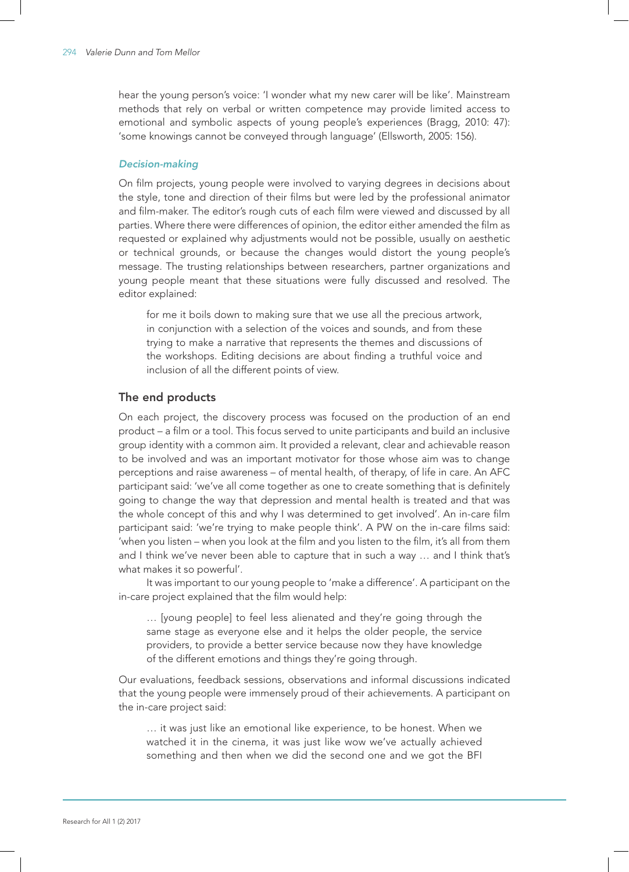hear the young person's voice: 'I wonder what my new carer will be like'. Mainstream methods that rely on verbal or written competence may provide limited access to emotional and symbolic aspects of young people's experiences (Bragg, 2010: 47): 'some knowings cannot be conveyed through language' (Ellsworth, 2005: 156).

#### *Decision-making*

On film projects, young people were involved to varying degrees in decisions about the style, tone and direction of their films but were led by the professional animator and film-maker. The editor's rough cuts of each film were viewed and discussed by all parties. Where there were differences of opinion, the editor either amended the film as requested or explained why adjustments would not be possible, usually on aesthetic or technical grounds, or because the changes would distort the young people's message. The trusting relationships between researchers, partner organizations and young people meant that these situations were fully discussed and resolved. The editor explained:

for me it boils down to making sure that we use all the precious artwork, in conjunction with a selection of the voices and sounds, and from these trying to make a narrative that represents the themes and discussions of the workshops. Editing decisions are about finding a truthful voice and inclusion of all the different points of view.

### The end products

On each project, the discovery process was focused on the production of an end product – a film or a tool. This focus served to unite participants and build an inclusive group identity with a common aim. It provided a relevant, clear and achievable reason to be involved and was an important motivator for those whose aim was to change perceptions and raise awareness – of mental health, of therapy, of life in care. An AFC participant said: 'we've all come together as one to create something that is definitely going to change the way that depression and mental health is treated and that was the whole concept of this and why I was determined to get involved'. An in-care film participant said: 'we're trying to make people think'. A PW on the in-care films said: 'when you listen – when you look at the film and you listen to the film, it's all from them and I think we've never been able to capture that in such a way … and I think that's what makes it so powerful'.

It was important to our young people to 'make a difference'. A participant on the in-care project explained that the film would help:

… [young people] to feel less alienated and they're going through the same stage as everyone else and it helps the older people, the service providers, to provide a better service because now they have knowledge of the different emotions and things they're going through.

Our evaluations, feedback sessions, observations and informal discussions indicated that the young people were immensely proud of their achievements. A participant on the in-care project said:

… it was just like an emotional like experience, to be honest. When we watched it in the cinema, it was just like wow we've actually achieved something and then when we did the second one and we got the BFI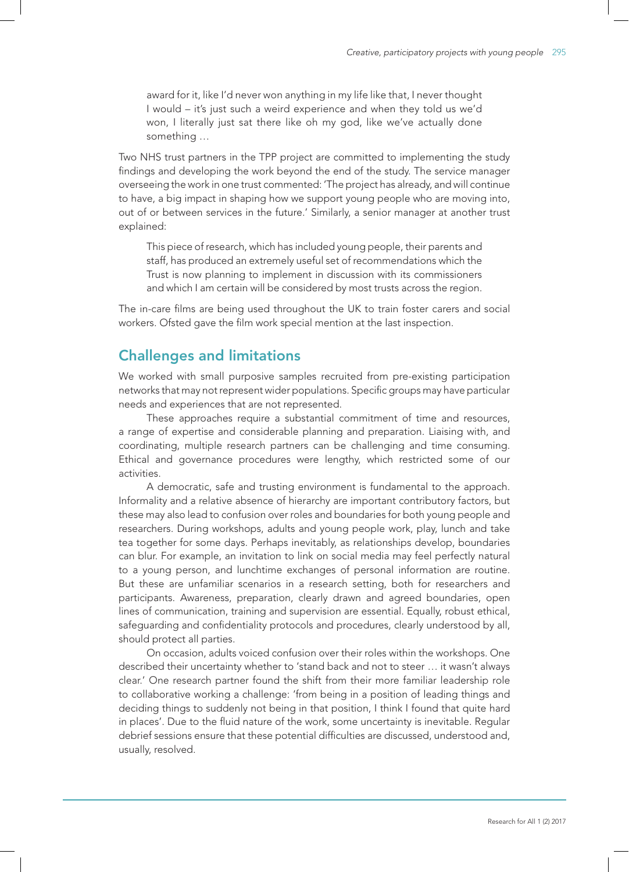award for it, like I'd never won anything in my life like that, I never thought I would – it's just such a weird experience and when they told us we'd won, I literally just sat there like oh my god, like we've actually done something …

Two NHS trust partners in the TPP project are committed to implementing the study findings and developing the work beyond the end of the study. The service manager overseeing the work in one trust commented: 'The project has already, and will continue to have, a big impact in shaping how we support young people who are moving into, out of or between services in the future.' Similarly, a senior manager at another trust explained:

This piece of research, which has included young people, their parents and staff, has produced an extremely useful set of recommendations which the Trust is now planning to implement in discussion with its commissioners and which I am certain will be considered by most trusts across the region.

The in-care films are being used throughout the UK to train foster carers and social workers. Ofsted gave the film work special mention at the last inspection.

## Challenges and limitations

We worked with small purposive samples recruited from pre-existing participation networks that may not represent wider populations. Specific groups may have particular needs and experiences that are not represented.

These approaches require a substantial commitment of time and resources, a range of expertise and considerable planning and preparation. Liaising with, and coordinating, multiple research partners can be challenging and time consuming. Ethical and governance procedures were lengthy, which restricted some of our activities.

A democratic, safe and trusting environment is fundamental to the approach. Informality and a relative absence of hierarchy are important contributory factors, but these may also lead to confusion over roles and boundaries for both young people and researchers. During workshops, adults and young people work, play, lunch and take tea together for some days. Perhaps inevitably, as relationships develop, boundaries can blur. For example, an invitation to link on social media may feel perfectly natural to a young person, and lunchtime exchanges of personal information are routine. But these are unfamiliar scenarios in a research setting, both for researchers and participants. Awareness, preparation, clearly drawn and agreed boundaries, open lines of communication, training and supervision are essential. Equally, robust ethical, safeguarding and confidentiality protocols and procedures, clearly understood by all, should protect all parties.

On occasion, adults voiced confusion over their roles within the workshops. One described their uncertainty whether to 'stand back and not to steer … it wasn't always clear.' One research partner found the shift from their more familiar leadership role to collaborative working a challenge: 'from being in a position of leading things and deciding things to suddenly not being in that position, I think I found that quite hard in places'. Due to the fluid nature of the work, some uncertainty is inevitable. Regular debrief sessions ensure that these potential difficulties are discussed, understood and, usually, resolved.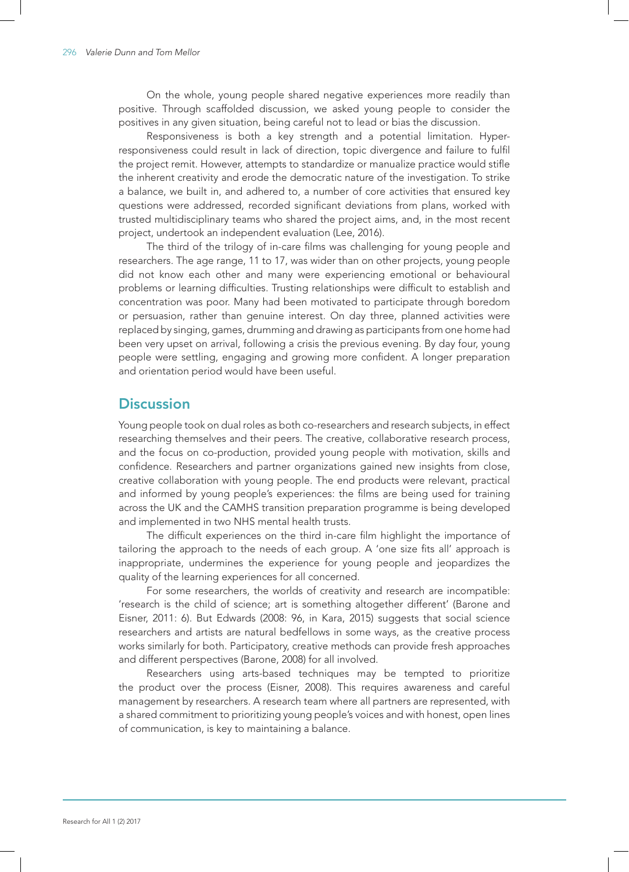On the whole, young people shared negative experiences more readily than positive. Through scaffolded discussion, we asked young people to consider the positives in any given situation, being careful not to lead or bias the discussion.

Responsiveness is both a key strength and a potential limitation. Hyperresponsiveness could result in lack of direction, topic divergence and failure to fulfil the project remit. However, attempts to standardize or manualize practice would stifle the inherent creativity and erode the democratic nature of the investigation. To strike a balance, we built in, and adhered to, a number of core activities that ensured key questions were addressed, recorded significant deviations from plans, worked with trusted multidisciplinary teams who shared the project aims, and, in the most recent project, undertook an independent evaluation (Lee, 2016).

The third of the trilogy of in-care films was challenging for young people and researchers. The age range, 11 to 17, was wider than on other projects, young people did not know each other and many were experiencing emotional or behavioural problems or learning difficulties. Trusting relationships were difficult to establish and concentration was poor. Many had been motivated to participate through boredom or persuasion, rather than genuine interest. On day three, planned activities were replaced by singing, games, drumming and drawing as participants from one home had been very upset on arrival, following a crisis the previous evening. By day four, young people were settling, engaging and growing more confident. A longer preparation and orientation period would have been useful.

### **Discussion**

Young people took on dual roles as both co-researchers and research subjects, in effect researching themselves and their peers. The creative, collaborative research process, and the focus on co-production, provided young people with motivation, skills and confidence. Researchers and partner organizations gained new insights from close, creative collaboration with young people. The end products were relevant, practical and informed by young people's experiences: the films are being used for training across the UK and the CAMHS transition preparation programme is being developed and implemented in two NHS mental health trusts.

The difficult experiences on the third in-care film highlight the importance of tailoring the approach to the needs of each group. A 'one size fits all' approach is inappropriate, undermines the experience for young people and jeopardizes the quality of the learning experiences for all concerned.

For some researchers, the worlds of creativity and research are incompatible: 'research is the child of science; art is something altogether different' (Barone and Eisner, 2011: 6). But Edwards (2008: 96, in Kara, 2015) suggests that social science researchers and artists are natural bedfellows in some ways, as the creative process works similarly for both. Participatory, creative methods can provide fresh approaches and different perspectives (Barone, 2008) for all involved.

Researchers using arts-based techniques may be tempted to prioritize the product over the process (Eisner, 2008). This requires awareness and careful management by researchers. A research team where all partners are represented, with a shared commitment to prioritizing young people's voices and with honest, open lines of communication, is key to maintaining a balance.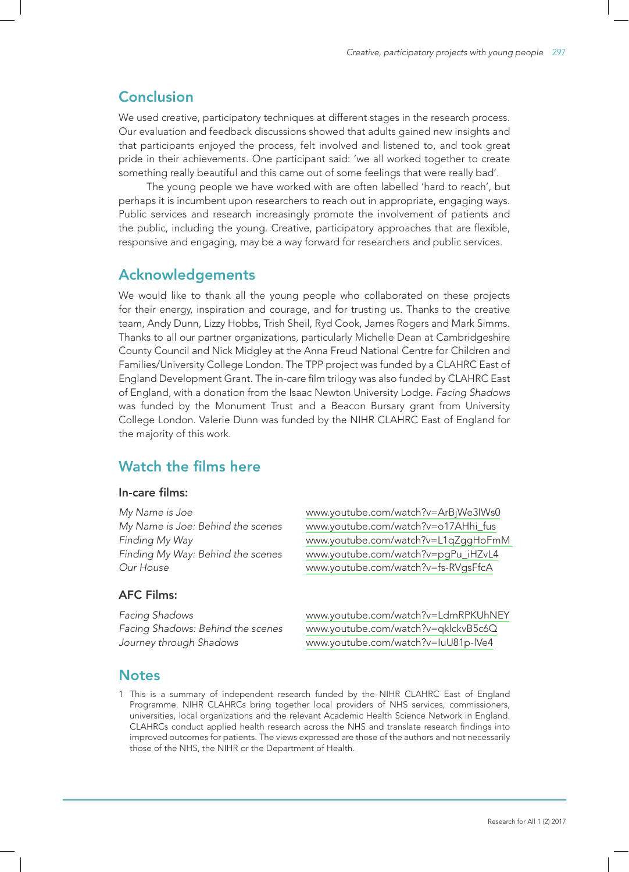# Conclusion

We used creative, participatory techniques at different stages in the research process. Our evaluation and feedback discussions showed that adults gained new insights and that participants enjoyed the process, felt involved and listened to, and took great pride in their achievements. One participant said: 'we all worked together to create something really beautiful and this came out of some feelings that were really bad'.

The young people we have worked with are often labelled 'hard to reach', but perhaps it is incumbent upon researchers to reach out in appropriate, engaging ways. Public services and research increasingly promote the involvement of patients and the public, including the young. Creative, participatory approaches that are flexible, responsive and engaging, may be a way forward for researchers and public services.

# Acknowledgements

We would like to thank all the young people who collaborated on these projects for their energy, inspiration and courage, and for trusting us. Thanks to the creative team, Andy Dunn, Lizzy Hobbs, Trish Sheil, Ryd Cook, James Rogers and Mark Simms. Thanks to all our partner organizations, particularly Michelle Dean at Cambridgeshire County Council and Nick Midgley at the Anna Freud National Centre for Children and Families/University College London. The TPP project was funded by a CLAHRC East of England Development Grant. The in-care film trilogy was also funded by CLAHRC East of England, with a donation from the Isaac Newton University Lodge. *Facing Shadows* was funded by the Monument Trust and a Beacon Bursary grant from University College London. Valerie Dunn was funded by the NIHR CLAHRC East of England for the majority of this work.

# Watch the films here

### In-care films:

*My Name is Joe* [www.youtube.com/watch?v=ArBjWe3IWs0](http://www.youtube.com/watch?v=ArBjWe3IWs0) *My Name is Joe: Behind the scenes* [www.youtube.com/watch?v=o17AHhi\\_fus](http://www.youtube.com/watch?v=o17AHhi_fus) *Finding My Way* [www.youtube.com/watch?v=L1qZggHoFmM](http://www.youtube.com/watch?v=L1qZggHoFmM)  *Finding My Way: Behind the scenes* [www.youtube.com/watch?v=pgPu\\_iHZvL4](http://www.youtube.com/watch?v=pgPu_iHZvL4) *Our House* [www.youtube.com/watch?v=fs-RVgsFfcA](http://www.youtube.com/watch?v=fs-RVgsFfcA)

## AFC Films:

*Facing Shadows* [www.youtube.com/watch?v=LdmRPKUhNEY](http://www.youtube.com/watch?v=LdmRPKUhNEY) *Facing Shadows: Behind the scenes* [www.youtube.com/watch?v=qklckvB5c6Q](http://www.youtube.com/watch?v=qklckvB5c6Q) *Journey through Shadows* [www.youtube.com/watch?v=IuU81p-lVe4](http://www.youtube.com/watch?v=IuU81p-lVe4)

# **Notes**

1 This is a summary of independent research funded by the NIHR CLAHRC East of England Programme. NIHR CLAHRCs bring together local providers of NHS services, commissioners, universities, local organizations and the relevant Academic Health Science Network in England. CLAHRCs conduct applied health research across the NHS and translate research findings into improved outcomes for patients. The views expressed are those of the authors and not necessarily those of the NHS, the NIHR or the Department of Health.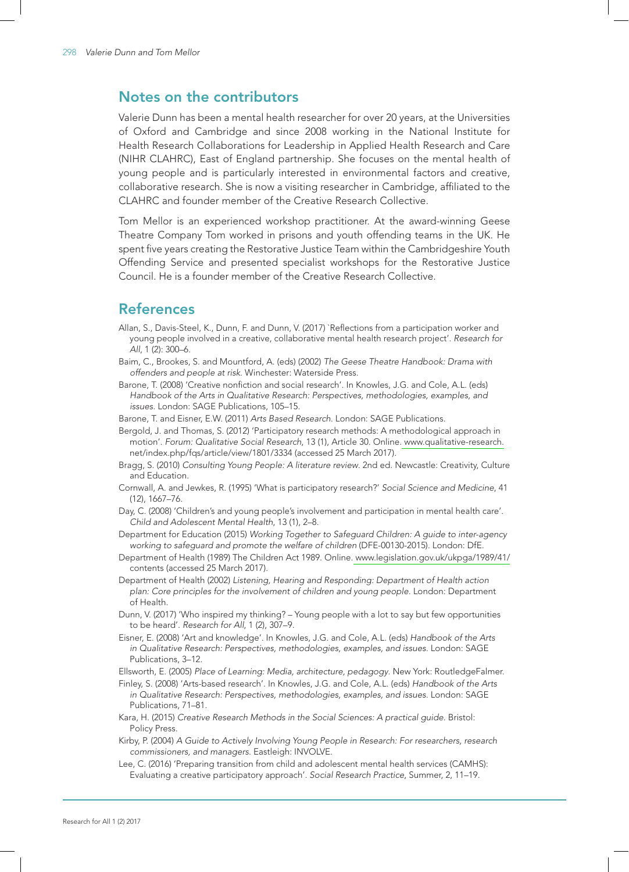### Notes on the contributors

Valerie Dunn has been a mental health researcher for over 20 years, at the Universities of Oxford and Cambridge and since 2008 working in the National Institute for Health Research Collaborations for Leadership in Applied Health Research and Care (NIHR CLAHRC), East of England partnership. She focuses on the mental health of young people and is particularly interested in environmental factors and creative, collaborative research. She is now a visiting researcher in Cambridge, affiliated to the CLAHRC and founder member of the Creative Research Collective.

Tom Mellor is an experienced workshop practitioner. At the award-winning Geese Theatre Company Tom worked in prisons and youth offending teams in the UK. He spent five years creating the Restorative Justice Team within the Cambridgeshire Youth Offending Service and presented specialist workshops for the Restorative Justice Council. He is a founder member of the Creative Research Collective.

### References

- Allan, S., Davis-Steel, K., Dunn, F. and Dunn, V. (2017) `Reflections from a participation worker and young people involved in a creative, collaborative mental health research project'. *Research for All*, 1 (2): 300–6.
- Baim, C., Brookes, S. and Mountford, A. (eds) (2002) *The Geese Theatre Handbook: Drama with offenders and people at risk*. Winchester: Waterside Press.
- Barone, T. (2008) 'Creative nonfiction and social research'. In Knowles, J.G. and Cole, A.L. (eds) *Handbook of the Arts in Qualitative Research: Perspectives, methodologies, examples, and issues.* London: SAGE Publications, 105–15.
- Barone, T. and Eisner, E.W. (2011) *Arts Based Research.* London: SAGE Publications.
- Bergold, J. and Thomas, S. (2012) 'Participatory research methods: A methodological approach in motion'. *Forum: Qualitative Social Research*, 13 (1), Article 30. Online[. www.qualitative-research.](http://www.qualitative-research) net/index.php/fqs/article/view/1801/3334 (accessed 25 March 2017).
- Bragg, S. (2010) *Consulting Young People: A literature review*. 2nd ed. Newcastle: Creativity, Culture and Education.
- Cornwall, A. and Jewkes, R. (1995) 'What is participatory research?' *Social Science and Medicine*, 41 (12), 1667–76.
- Day, C. (2008) 'Children's and young people's involvement and participation in mental health care'. *Child and Adolescent Mental Health*, 13 (1), 2–8.
- Department for Education (2015) *Working Together to Safeguard Children: A guide to inter-agency working to safeguard and promote the welfare of children* (DFE-00130-2015)*.* London: DfE.
- Department of Health (1989) The Children Act 1989. Online[. www.legislation.gov.uk/ukpga/1989/41/](http://www.legislation.gov.uk/ukpga/1989/41/) contents (accessed 25 March 2017).
- Department of Health (2002) *Listening, Hearing and Responding: Department of Health action plan: Core principles for the involvement of children and young people*. London: Department of Health.
- Dunn, V. (2017) 'Who inspired my thinking? Young people with a lot to say but few opportunities to be heard'. *Research for All*, 1 (2), 307–9.
- Eisner, E. (2008) 'Art and knowledge'. In Knowles, J.G. and Cole, A.L. (eds) *Handbook of the Arts in Qualitative Research: Perspectives, methodologies, examples, and issues. London: SAGE* Publications, 3–12.
- Ellsworth, E. (2005) *Place of Learning: Media, architecture, pedagogy*. New York: RoutledgeFalmer.
- Finley, S. (2008) 'Arts-based research'. In Knowles, J.G. and Cole, A.L. (eds) *Handbook of the Arts in Qualitative Research: Perspectives, methodologies, examples, and issues. London: SAGE* Publications, 71–81.
- Kara, H. (2015) *Creative Research Methods in the Social Sciences: A practical guide*. Bristol: Policy Press.
- Kirby, P. (2004) *A Guide to Actively Involving Young People in Research: For researchers, research commissioners, and managers*. Eastleigh: INVOLVE.
- Lee, C. (2016) 'Preparing transition from child and adolescent mental health services (CAMHS): Evaluating a creative participatory approach'*. Social Research Practice*, Summer, 2, 11–19.